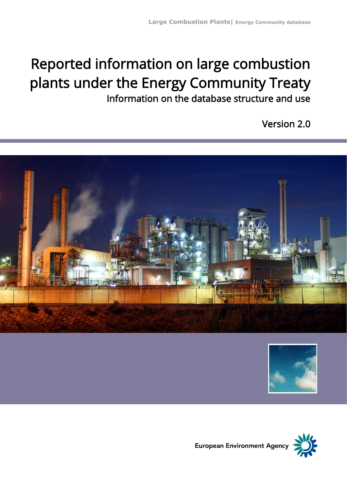# Reported information on large combustion plants under the Energy Community Treaty Information on the database structure and use

Version 2.0







European Environment Agency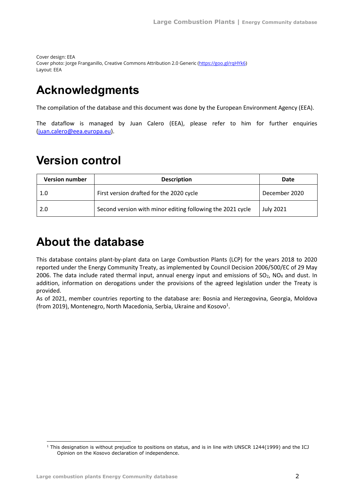Cover design: EEA Cover photo: Jorge Franganillo, Creative Commons Attribution 2.0 Generic [\(https://goo.gl/rqHYk6\)](https://goo.gl/rqHYk6) Layout: EEA

## <span id="page-1-0"></span>**Acknowledgments**

The compilation of the database and this document was done by the European Environment Agency (EEA).

The dataflow is managed by Juan Calero (EEA), please refer to him for further enquiries [\(juan.calero@eea.europa.eu\)](mailto:juan.calero@eea.europa.eu).

## <span id="page-1-1"></span>**Version control**

| <b>Version number</b> | <b>Description</b>                                         | Date             |
|-----------------------|------------------------------------------------------------|------------------|
| 1.0                   | First version drafted for the 2020 cycle                   | December 2020    |
| 2.0                   | Second version with minor editing following the 2021 cycle | <b>July 2021</b> |

## <span id="page-1-2"></span>**About the database**

This database contains plant-by-plant data on Large Combustion Plants (LCP) for the years 2018 to 2020 reported under the Energy Community Treaty, as implemented by Council Decision 2006/500/EC of 29 May 2006. The data include rated thermal input, annual energy input and emissions of  $SO<sub>2</sub>$ , NO<sub>x</sub> and dust. In addition, information on derogations under the provisions of the agreed legislation under the Treaty is provided.

<span id="page-1-3"></span>As of 2021, member countries reporting to the database are: Bosnia and Herzegovina, Georgia, Moldova (from 2019), Montenegro, North Macedonia, Serbia, Ukraine and Kosovo<sup>1</sup>.

<sup>&</sup>lt;sup>1</sup> This designation is without prejudice to positions on status, and is in line with UNSCR 1244(1999) and the ICJ Opinion on the Kosovo declaration of independence.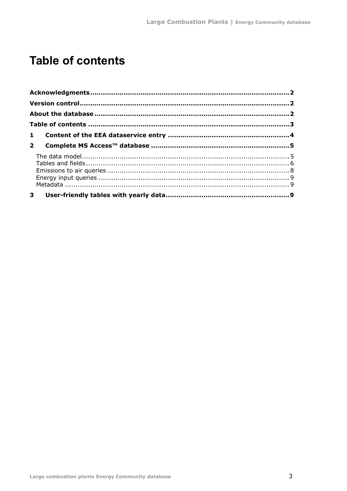## <span id="page-2-0"></span>**Table of contents**

| 3 <sup>7</sup> |  |
|----------------|--|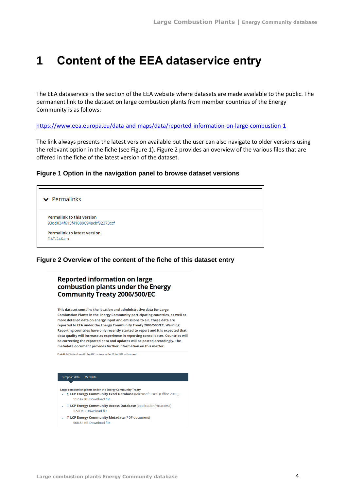## <span id="page-3-0"></span>**1 Content of the EEA dataservice entry**

The EEA dataservice is the section of the EEA website where datasets are made available to the public. The permanent link to the dataset on large combustion plants from member countries of the Energy Community is as follows:

<https://www.eea.europa.eu/data-and-maps/data/reported-information-on-large-combustion-1>

The link always presents the latest version available but the user can also navigate to older versions using the relevant option in the fiche (see Figure 1). Figure 2 provides an overview of the various files that are offered in the fiche of the latest version of the dataset.

#### **Figure 1 Option in the navigation panel to browse dataset versions**



#### **Figure 2 Overview of the content of the fiche of this dataset entry**

#### **Reported information on large** combustion plants under the Energy **Community Treaty 2006/500/EC**

This dataset contains the location and administrative data for Large Combustion Plants in the Energy Community participating countries, as well as more detailed data on energy input and emissions to air. These data are reported to EEA under the Energy Community Treaty 2006/500/EC. Warning: Reporting countries have only recently started to report and it is expected that data quality will increase as experience in reporting consolidates. Countries will be correcting the reported data and updates will be posted accordingly. The metadata document provides further information on this matter.

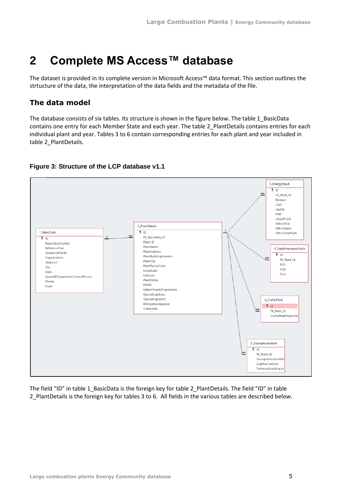## <span id="page-4-0"></span>**2 Complete MS Access™ database**

The dataset is provided in its complete version in Microsoft Access™ data format. This section outlines the strtucture of the data, the interpretation of the data fields and the metadata of the file.

## <span id="page-4-1"></span>**The data model**

The database consists of six tables. Its structure is shown in the figure below. The table 1\_BasicData contains one entry for each Member State and each year. The table 2\_PlantDetails contains entries for each individual plant and year. Tables 3 to 6 contain corresponding entries for each plant and year included in table 2\_PlantDetails.



### **Figure 3: Structure of the LCP database v1.1**

The field "ID" in table 1\_BasicData is the foreign key for table 2\_PlantDetails. The field "ID" in table 2\_PlantDetails is the foreign key for tables 3 to 6. All fields in the various tables are described below.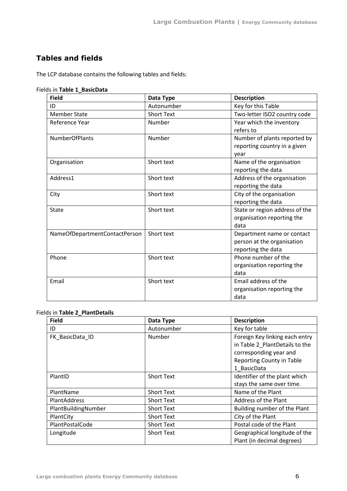### <span id="page-5-0"></span>**Tables and fields**

The LCP database contains the following tables and fields:

Fields in **Table 1\_BasicData**

| <b>Field</b>                  | Data Type         | <b>Description</b>             |
|-------------------------------|-------------------|--------------------------------|
| ID                            | Autonumber        | Key for this Table             |
| <b>Member State</b>           | <b>Short Text</b> | Two-letter ISO2 country code   |
| Reference Year                | Number            | Year which the inventory       |
|                               |                   | refers to                      |
| <b>NumberOfPlants</b>         | Number            | Number of plants reported by   |
|                               |                   | reporting country in a given   |
|                               |                   | year                           |
| Organisation                  | Short text        | Name of the organisation       |
|                               |                   | reporting the data             |
| Address1                      | Short text        | Address of the organisation    |
|                               |                   | reporting the data             |
| City                          | Short text        | City of the organisation       |
|                               |                   | reporting the data             |
| State                         | Short text        | State or region address of the |
|                               |                   | organisation reporting the     |
|                               |                   | data                           |
| NameOfDepartmentContactPerson | Short text        | Department name or contact     |
|                               |                   | person at the organisation     |
|                               |                   | reporting the data             |
| Phone                         | Short text        | Phone number of the            |
|                               |                   | organisation reporting the     |
|                               |                   | data                           |
| Email                         | Short text        | Email address of the           |
|                               |                   | organisation reporting the     |
|                               |                   | data                           |

### Fields in **Table 2\_PlantDetails**

| <b>Field</b>        | Data Type         | <b>Description</b>                                                                                                                            |
|---------------------|-------------------|-----------------------------------------------------------------------------------------------------------------------------------------------|
| ID                  | Autonumber        | Key for table                                                                                                                                 |
| FK_BasicData_ID     | Number            | Foreign Key linking each entry<br>in Table 2_PlantDetails to the<br>corresponding year and<br><b>Reporting County in Table</b><br>1 BasicData |
| PlantID             | <b>Short Text</b> | Identifier of the plant which<br>stays the same over time.                                                                                    |
| PlantName           | <b>Short Text</b> | Name of the Plant                                                                                                                             |
| PlantAddress        | <b>Short Text</b> | Address of the Plant                                                                                                                          |
| PlantBuildingNumber | <b>Short Text</b> | Building number of the Plant                                                                                                                  |
| PlantCity           | <b>Short Text</b> | City of the Plant                                                                                                                             |
| PlantPostalCode     | <b>Short Text</b> | Postal code of the Plant                                                                                                                      |
| Longitude           | <b>Short Text</b> | Geographical longitude of the<br>Plant (in decimal degrees)                                                                                   |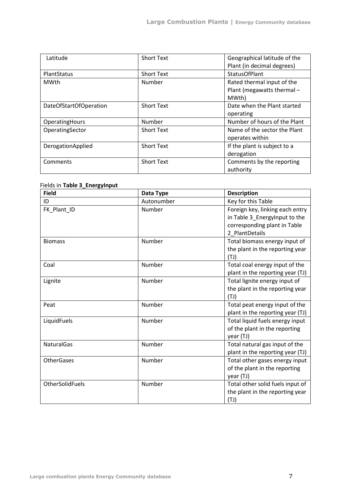| Latitude               | <b>Short Text</b> | Geographical latitude of the |
|------------------------|-------------------|------------------------------|
|                        |                   | Plant (in decimal degrees)   |
| PlantStatus            | <b>Short Text</b> | <b>StatusOfPlant</b>         |
| MWth                   | Number            | Rated thermal input of the   |
|                        |                   | Plant (megawatts thermal -   |
|                        |                   | MWth)                        |
| DateOfStartOfOperation | <b>Short Text</b> | Date when the Plant started  |
|                        |                   | operating                    |
| OperatingHours         | Number            | Number of hours of the Plant |
| OperatingSector        | <b>Short Text</b> | Name of the sector the Plant |
|                        |                   | operates within              |
| DerogationApplied      | <b>Short Text</b> | If the plant is subject to a |
|                        |                   | derogation                   |
| Comments               | <b>Short Text</b> | Comments by the reporting    |
|                        |                   | authority                    |

#### Fields in **Table 3\_EnergyInput**

| <b>Field</b>      | Data Type  | <b>Description</b>                                                                                                 |
|-------------------|------------|--------------------------------------------------------------------------------------------------------------------|
| ID                | Autonumber | Key for this Table                                                                                                 |
| FK_Plant_ID       | Number     | Foreign key, linking each entry<br>in Table 3_EnergyInput to the<br>corresponding plant in Table<br>2 PlantDetails |
| <b>Biomass</b>    | Number     | Total biomass energy input of<br>the plant in the reporting year<br>(TJ)                                           |
| Coal              | Number     | Total coal energy input of the<br>plant in the reporting year (TJ)                                                 |
| Lignite           | Number     | Total lignite energy input of<br>the plant in the reporting year<br>(TJ)                                           |
| Peat              | Number     | Total peat energy input of the<br>plant in the reporting year (TJ)                                                 |
| LiquidFuels       | Number     | Total liquid fuels energy input<br>of the plant in the reporting<br>year (TJ)                                      |
| <b>NaturalGas</b> | Number     | Total natural gas input of the<br>plant in the reporting year (TJ)                                                 |
| <b>OtherGases</b> | Number     | Total other gases energy input<br>of the plant in the reporting<br>year (TJ)                                       |
| OtherSolidFuels   | Number     | Total other solid fuels input of<br>the plant in the reporting year<br>(TJ)                                        |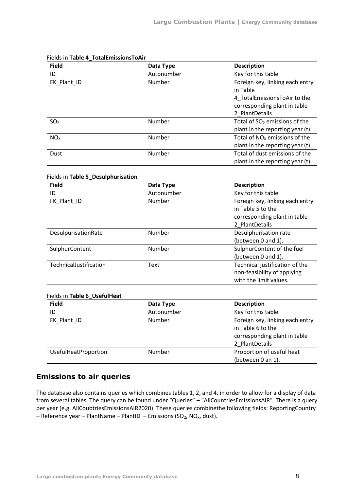| <b>Field</b>    | Data Type  | <b>Description</b>              |
|-----------------|------------|---------------------------------|
| ID              | Autonumber | Key for this table              |
| FK Plant ID     | Number     | Foreign key, linking each entry |
|                 |            | in Table                        |
|                 |            | 4_TotalEmissionsToAir to the    |
|                 |            | corresponding plant in table    |
|                 |            | 2 PlantDetails                  |
| SO <sub>2</sub> | Number     | Total of $SO2$ emissions of the |
|                 |            | plant in the reporting year (t) |
| NO <sub>x</sub> | Number     | Total of $NOx$ emissions of the |
|                 |            | plant in the reporting year (t) |
| Dust            | Number     | Total of dust emissions of the  |
|                 |            | plant in the reporting year (t) |

#### Fields in **Table 4\_TotalEmissionsToAir**

#### Fields in **Table 5\_Desulphurisation**

| <b>Field</b>           | Data Type  | <b>Description</b>                                                                   |
|------------------------|------------|--------------------------------------------------------------------------------------|
| ID                     | Autonumber | Key for this table                                                                   |
| FK Plant ID            | Number     | Foreign key, linking each entry<br>in Table 5 to the<br>corresponding plant in table |
|                        |            | 2 PlantDetails                                                                       |
| DesulpurisationRate    | Number     | Desulphurisation rate                                                                |
|                        |            | (between 0 and 1).                                                                   |
| SulphurContent         | Number     | SulphurContent of the fuel                                                           |
|                        |            | (between 0 and 1).                                                                   |
| TechnicalJustification | Text       | Technical justification of the                                                       |
|                        |            | non-feasibility of applying                                                          |
|                        |            | with the limit values.                                                               |

#### Fields in **Table 6\_UsefulHeat**

| <b>Field</b>         | Data Type  | <b>Description</b>              |
|----------------------|------------|---------------------------------|
| ID                   | Autonumber | Key for this table              |
| FK Plant ID          | Number     | Foreign key, linking each entry |
|                      |            | in Table 6 to the               |
|                      |            | corresponding plant in table    |
|                      |            | 2 PlantDetails                  |
| UsefulHeatProportion | Number     | Proportion of useful heat       |
|                      |            | (between 0 an 1).               |

## <span id="page-7-0"></span>**Emissions to air queries**

The database also contains queries which combines tables 1, 2, and 4, in order to allow for a display of data from several tables. The query can be found under "Queries" – "AllCountriesEmissionsAIR". There is a query per year (e.g. AllCoubtriesEmissionsAIR2020). These queries combinethe following fields: ReportingCountry – Reference year – PlantName – PlantID – Emissions (SO<sub>2</sub>, NO<sub>x</sub>, dust).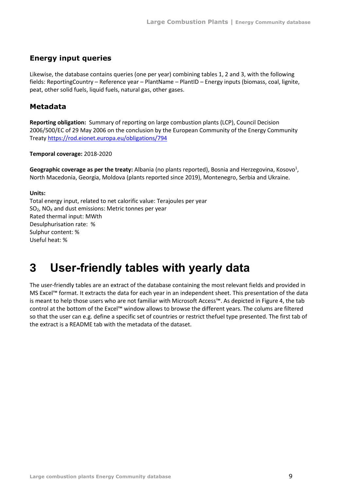### <span id="page-8-0"></span>**Energy input queries**

Likewise, the database contains queries (one per year) combining tables 1, 2 and 3, with the following fields: ReportingCountry – Reference year – PlantName – PlantID – Energy inputs (biomass, coal, lignite, peat, other solid fuels, liquid fuels, natural gas, other gases.

### <span id="page-8-1"></span>**Metadata**

**Reporting obligation:** Summary of reporting on large combustion plants (LCP), Council Decision 2006/500/EC of 29 May 2006 on the conclusion by the European Community of the Energy Community Treaty<https://rod.eionet.europa.eu/obligations/794>

#### **Temporal coverage:** 2018-2020

Ge[o](#page-1-3)graphic coverage as per the treaty: Albania (no plants reported), Bosnia and Herzegovina, Kosovo<sup>1</sup>, North Macedonia, Georgia, Moldova (plants reported since 2019), Montenegro, Serbia and Ukraine.

### **Units:**

Total energy input, related to net calorific value: Terajoules per year  $SO<sub>2</sub>$ , NO<sub>x</sub> and dust emissions: Metric tonnes per year Rated thermal input: MWth Desulphurisation rate: % Sulphur content: % Useful heat: %

## <span id="page-8-2"></span>**3 User-friendly tables with yearly data**

The user-friendly tables are an extract of the database containing the most relevant fields and provided in MS Excel™ format. It extracts the data for each year in an independent sheet. This presentation of the data is meant to help those users who are not familiar with Microsoft Access™. As depicted in Figure 4, the tab control at the bottom of the Excel™ window allows to browse the different years. The colums are filtered so that the user can e.g. define a specific set of countries or restrict thefuel type presented. The first tab of the extract is a README tab with the metadata of the dataset.